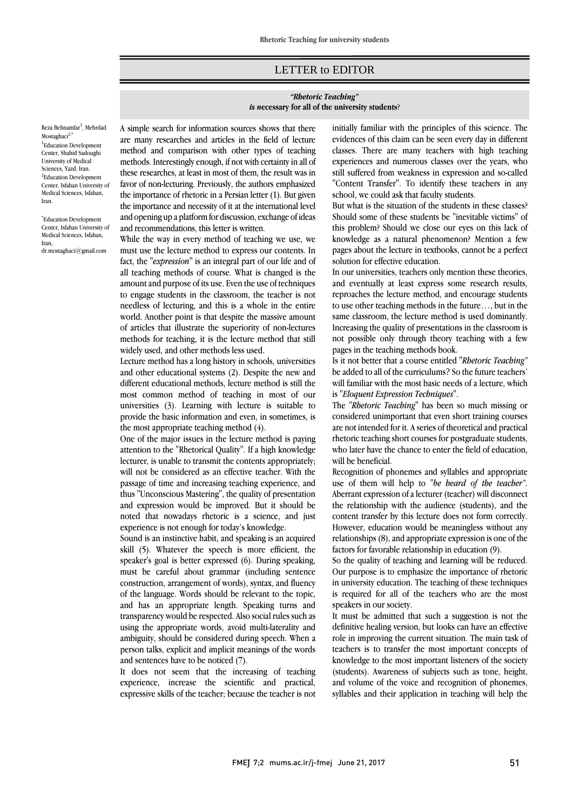## LETTER to EDITOR

## *"Rhetoric Teaching" is n***ecessary for all of the university students**?

Reza Behnamfar<sup>1</sup>, Mehrdad Mostaghaci<sup>2,\*</sup> <sup>1</sup>Education Development Center, Shahid Sadoughi University of Medical Sciences, Yazd, Iran. <sup>2</sup>Education Development Center, Isfahan University of Medical Sciences, Isfahan, Iran.

\* Education Development Center, Isfahan University of Medical Sciences, Isfahan, Iran, dr.mostaghaci@gmail.com

A simple search for information sources shows that there are many researches and articles in the field of lecture method and comparison with other types of teaching methods. Interestingly enough, if not with certainty in all of these researches, at least in most of them, the result was in favor of non-lecturing. Previously, the authors emphasized the importance of rhetoric in a Persian letter (1). But given the importance and necessity of it at the international level and opening up a platform for discussion, exchange of ideas and recommendations, this letter is written.

While the way in every method of teaching we use, we must use the lecture method to express our contents. In fact, the "*expression*" is an integral part of our life and of all teaching methods of course. What is changed is the amount and purpose of its use. Even the use of techniques to engage students in the classroom, the teacher is not needless of lecturing, and this is a whole in the entire world. Another point is that despite the massive amount of articles that illustrate the superiority of non-lectures methods for teaching, it is the lecture method that still widely used, and other methods less used.

Lecture method has a long history in schools, universities and other educational systems (2). Despite the new and different educational methods, lecture method is still the most common method of teaching in most of our universities (3). Learning with lecture is suitable to provide the basic information and even, in sometimes, is the most appropriate teaching method (4).

One of the major issues in the lecture method is paying attention to the "Rhetorical Quality". If a high knowledge lecturer, is unable to transmit the contents appropriately; will not be considered as an effective teacher. With the passage of time and increasing teaching experience, and thus "Unconscious Mastering", the quality of presentation and expression would be improved. But it should be noted that nowadays rhetoric is a science, and just experience is not enough for today's knowledge.

Sound is an instinctive habit, and speaking is an acquired skill (5). Whatever the speech is more efficient, the speaker's goal is better expressed (6). During speaking, must be careful about grammar (including sentence construction, arrangement of words), syntax, and fluency of the language. Words should be relevant to the topic, and has an appropriate length. Speaking turns and transparency would be respected. Also social rules such as using the appropriate words, avoid multi-laterality and ambiguity, should be considered during speech. When a person talks, explicit and implicit meanings of the words and sentences have to be noticed (7).

It does not seem that the increasing of teaching experience, increase the scientific and practical, expressive skills of the teacher; because the teacher is not

initially familiar with the principles of this science. The evidences of this claim can be seen every day in different classes. There are many teachers with high teaching experiences and numerous classes over the years, who still suffered from weakness in expression and so-called "Content Transfer". To identify these teachers in any school, we could ask that faculty students.

But what is the situation of the students in these classes? Should some of these students be "inevitable victims" of this problem? Should we close our eyes on this lack of knowledge as a natural phenomenon? Mention a few pages about the lecture in textbooks, cannot be a perfect solution for effective education.

In our universities, teachers only mention these theories, and eventually at least express some research results, reproaches the lecture method, and encourage students to use other teaching methods in the future…, but in the same classroom, the lecture method is used dominantly. Increasing the quality of presentations in the classroom is not possible only through theory teaching with a few pages in the teaching methods book.

Is it not better that a course entitled *"Rhetoric Teaching"* be added to all of the curriculums? So the future teachers' will familiar with the most basic needs of a lecture, which is *"Eloquent Expression Techniques"*.

The *"Rhetoric Teaching"* has been so much missing or considered unimportant that even short training courses are not intended for it. A series of theoretical and practical rhetoric teaching short courses for postgraduate students, who later have the chance to enter the field of education, will be beneficial.

Recognition of phonemes and syllables and appropriate use of them will help to "*be heard of the teacher"*. Aberrant expression of a lecturer (teacher) will disconnect the relationship with the audience (students), and the content transfer by this lecture does not form correctly. However, education would be meaningless without any relationships (8), and appropriate expression is one of the factors for favorable relationship in education (9).

So the quality of teaching and learning will be reduced. Our purpose is to emphasize the importance of rhetoric in university education. The teaching of these techniques is required for all of the teachers who are the most speakers in our society.

It must be admitted that such a suggestion is not the definitive healing version, but looks can have an effective role in improving the current situation. The main task of teachers is to transfer the most important concepts of knowledge to the most important listeners of the society (students). Awareness of subjects such as tone, height, and volume of the voice and recognition of phonemes, syllables and their application in teaching will help the